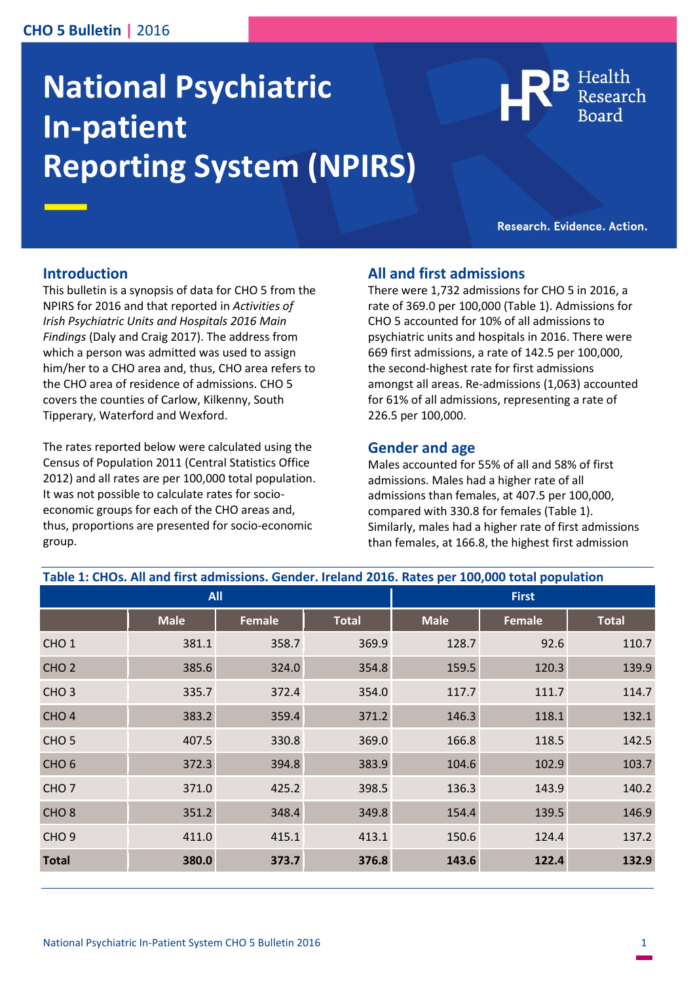## **CHO 5 Bulletin |** 2016

# **National Psychiatric In-patient Reporting System (NPIRS)**

Health

Research. Evidence. Action.

#### **Introduction**

This bulletin is a synopsis of data for CHO 5 from the NPIRS for 2016 and that reported in *Activities of Irish Psychiatric Units and Hospitals 2016 Main Findings* (Daly and Craig 2017). The address from which a person was admitted was used to assign him/her to a CHO area and, thus, CHO area refers to the CHO area of residence of admissions. CHO 5 covers the counties of Carlow, Kilkenny, South Tipperary, Waterford and Wexford.

The rates reported below were calculated using the Census of Population 2011 (Central Statistics Office 2012) and all rates are per 100,000 total population. It was not possible to calculate rates for socioeconomic groups for each of the CHO areas and, thus, proportions are presented for socio-economic group.

## **All and first admissions**

There were 1,732 admissions for CHO 5 in 2016, a rate of 369.0 per 100,000 (Table 1). Admissions for CHO 5 accounted for 10% of all admissions to psychiatric units and hospitals in 2016. There were 669 first admissions, a rate of 142.5 per 100,000, the second-highest rate for first admissions amongst all areas. Re-admissions (1,063) accounted for 61% of all admissions, representing a rate of 226.5 per 100,000.

#### **Gender and age**

Males accounted for 55% of all and 58% of first admissions. Males had a higher rate of all admissions than females, at 407.5 per 100,000, compared with 330.8 for females (Table 1). Similarly, males had a higher rate of first admissions than females, at 166.8, the highest first admission

| Table 1: CHOs. All and first admissions. Gender. Ireland 2016. Rates per 100,000 total population |             |               |              |              |               |              |
|---------------------------------------------------------------------------------------------------|-------------|---------------|--------------|--------------|---------------|--------------|
| <b>All</b>                                                                                        |             |               |              | <b>First</b> |               |              |
|                                                                                                   | <b>Male</b> | <b>Female</b> | <b>Total</b> | <b>Male</b>  | <b>Female</b> | <b>Total</b> |
| CHO <sub>1</sub>                                                                                  | 381.1       | 358.7         | 369.9        | 128.7        | 92.6          | 110.7        |
| CHO <sub>2</sub>                                                                                  | 385.6       | 324.0         | 354.8        | 159.5        | 120.3         | 139.9        |
| CHO <sub>3</sub>                                                                                  | 335.7       | 372.4         | 354.0        | 117.7        | 111.7         | 114.7        |
| CHO <sub>4</sub>                                                                                  | 383.2       | 359.4         | 371.2        | 146.3        | 118.1         | 132.1        |
| CHO <sub>5</sub>                                                                                  | 407.5       | 330.8         | 369.0        | 166.8        | 118.5         | 142.5        |
| CHO <sub>6</sub>                                                                                  | 372.3       | 394.8         | 383.9        | 104.6        | 102.9         | 103.7        |
| CHO <sub>7</sub>                                                                                  | 371.0       | 425.2         | 398.5        | 136.3        | 143.9         | 140.2        |
| CHO <sub>8</sub>                                                                                  | 351.2       | 348.4         | 349.8        | 154.4        | 139.5         | 146.9        |
| CHO <sub>9</sub>                                                                                  | 411.0       | 415.1         | 413.1        | 150.6        | 124.4         | 137.2        |
| <b>Total</b>                                                                                      | 380.0       | 373.7         | 376.8        | 143.6        | 122.4         | 132.9        |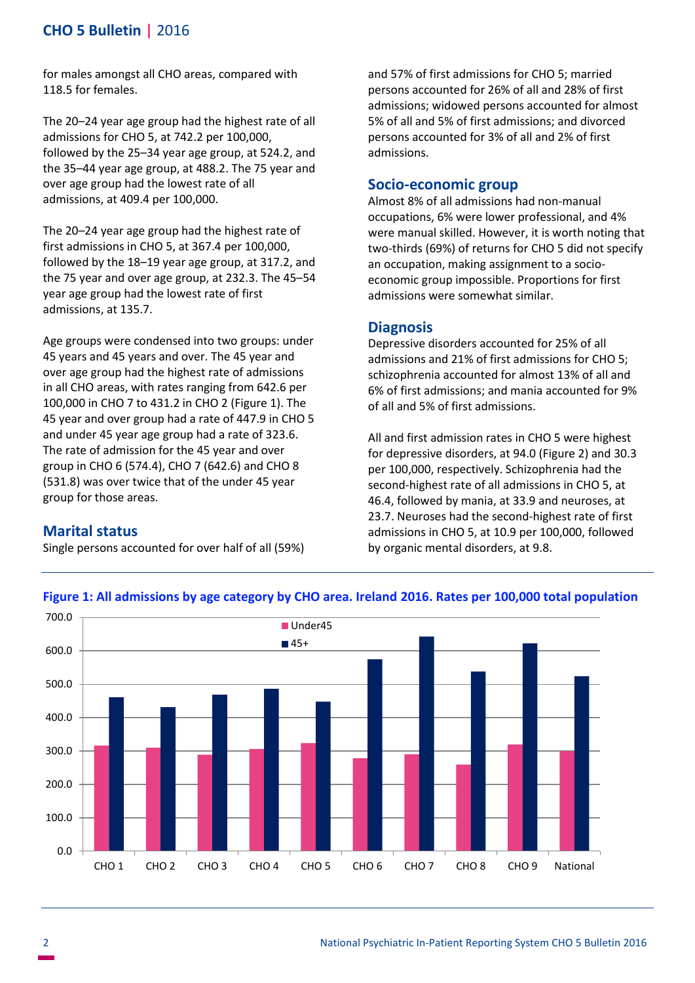# **CHO 5 Bulletin |** 2016

for males amongst all CHO areas, compared with 118.5 for females.

The 20–24 year age group had the highest rate of all admissions for CHO 5, at 742.2 per 100,000, followed by the 25–34 year age group, at 524.2, and the 35–44 year age group, at 488.2. The 75 year and over age group had the lowest rate of all admissions, at 409.4 per 100,000.

The 20–24 year age group had the highest rate of first admissions in CHO 5, at 367.4 per 100,000, followed by the 18–19 year age group, at 317.2, and the 75 year and over age group, at 232.3. The 45–54 year age group had the lowest rate of first admissions, at 135.7.

Age groups were condensed into two groups: under 45 years and 45 years and over. The 45 year and over age group had the highest rate of admissions in all CHO areas, with rates ranging from 642.6 per 100,000 in CHO 7 to 431.2 in CHO 2 (Figure 1). The 45 year and over group had a rate of 447.9 in CHO 5 and under 45 year age group had a rate of 323.6. The rate of admission for the 45 year and over group in CHO 6 (574.4), CHO 7 (642.6) and CHO 8 (531.8) was over twice that of the under 45 year group for those areas.

**Marital status**

Single persons accounted for over half of all (59%)

and 57% of first admissions for CHO 5; married persons accounted for 26% of all and 28% of first admissions; widowed persons accounted for almost 5% of all and 5% of first admissions; and divorced persons accounted for 3% of all and 2% of first admissions.

## **Socio-economic group**

Almost 8% of all admissions had non-manual occupations, 6% were lower professional, and 4% were manual skilled. However, it is worth noting that two-thirds (69%) of returns for CHO 5 did not specify an occupation, making assignment to a socioeconomic group impossible. Proportions for first admissions were somewhat similar.

## **Diagnosis**

Depressive disorders accounted for 25% of all admissions and 21% of first admissions for CHO 5; schizophrenia accounted for almost 13% of all and 6% of first admissions; and mania accounted for 9% of all and 5% of first admissions.

All and first admission rates in CHO 5 were highest for depressive disorders, at 94.0 (Figure 2) and 30.3 per 100,000, respectively. Schizophrenia had the second-highest rate of all admissions in CHO 5, at 46.4, followed by mania, at 33.9 and neuroses, at 23.7. Neuroses had the second-highest rate of first admissions in CHO 5, at 10.9 per 100,000, followed by organic mental disorders, at 9.8.



#### **Figure 1: All admissions by age category by CHO area. Ireland 2016. Rates per 100,000 total population**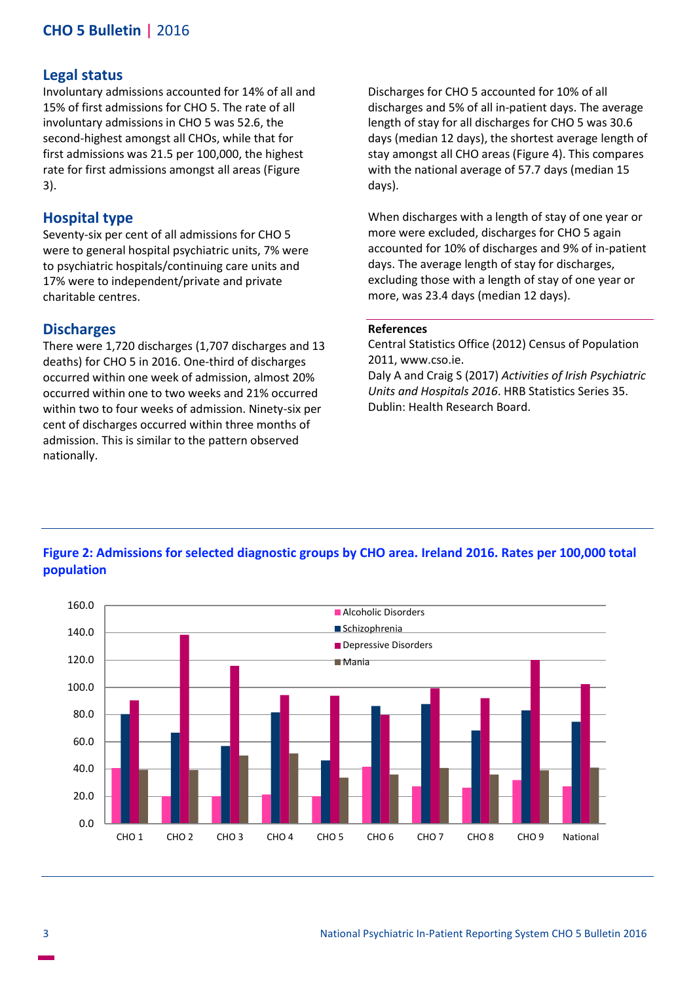# **CHO 5 Bulletin |** 2016

#### **Legal status**

Involuntary admissions accounted for 14% of all and 15% of first admissions for CHO 5. The rate of all involuntary admissions in CHO 5 was 52.6, the second-highest amongst all CHOs, while that for first admissions was 21.5 per 100,000, the highest rate for first admissions amongst all areas (Figure 3).

#### **Hospital type**

Seventy-six per cent of all admissions for CHO 5 were to general hospital psychiatric units, 7% were to psychiatric hospitals/continuing care units and 17% were to independent/private and private charitable centres.

#### **Discharges**

There were 1,720 discharges (1,707 discharges and 13 deaths) for CHO 5 in 2016. One-third of discharges occurred within one week of admission, almost 20% occurred within one to two weeks and 21% occurred within two to four weeks of admission. Ninety-six per cent of discharges occurred within three months of admission. This is similar to the pattern observed nationally.

Discharges for CHO 5 accounted for 10% of all discharges and 5% of all in-patient days. The average length of stay for all discharges for CHO 5 was 30.6 days (median 12 days), the shortest average length of stay amongst all CHO areas (Figure 4). This compares with the national average of 57.7 days (median 15 days).

When discharges with a length of stay of one year or more were excluded, discharges for CHO 5 again accounted for 10% of discharges and 9% of in-patient days. The average length of stay for discharges, excluding those with a length of stay of one year or more, was 23.4 days (median 12 days).

#### **References**

Central Statistics Office (2012) Census of Population 2011, www.cso.ie.

Daly A and Craig S (2017) *Activities of Irish Psychiatric Units and Hospitals 2016*. HRB Statistics Series 35. Dublin: Health Research Board.



# **Figure 2: Admissions for selected diagnostic groups by CHO area. Ireland 2016. Rates per 100,000 total population**